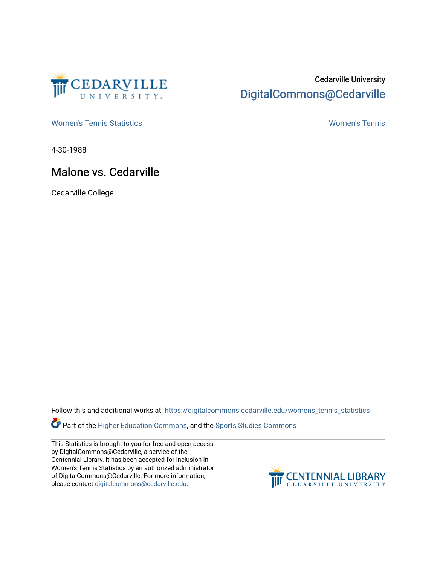

## Cedarville University [DigitalCommons@Cedarville](https://digitalcommons.cedarville.edu/)

[Women's Tennis Statistics](https://digitalcommons.cedarville.edu/womens_tennis_statistics) [Women's Tennis](https://digitalcommons.cedarville.edu/womens_tennis) 

4-30-1988

## Malone vs. Cedarville

Cedarville College

Follow this and additional works at: [https://digitalcommons.cedarville.edu/womens\\_tennis\\_statistics](https://digitalcommons.cedarville.edu/womens_tennis_statistics?utm_source=digitalcommons.cedarville.edu%2Fwomens_tennis_statistics%2F87&utm_medium=PDF&utm_campaign=PDFCoverPages) 

Part of the [Higher Education Commons,](http://network.bepress.com/hgg/discipline/1245?utm_source=digitalcommons.cedarville.edu%2Fwomens_tennis_statistics%2F87&utm_medium=PDF&utm_campaign=PDFCoverPages) and the [Sports Studies Commons](http://network.bepress.com/hgg/discipline/1198?utm_source=digitalcommons.cedarville.edu%2Fwomens_tennis_statistics%2F87&utm_medium=PDF&utm_campaign=PDFCoverPages) 

This Statistics is brought to you for free and open access by DigitalCommons@Cedarville, a service of the Centennial Library. It has been accepted for inclusion in Women's Tennis Statistics by an authorized administrator of DigitalCommons@Cedarville. For more information, please contact [digitalcommons@cedarville.edu](mailto:digitalcommons@cedarville.edu).